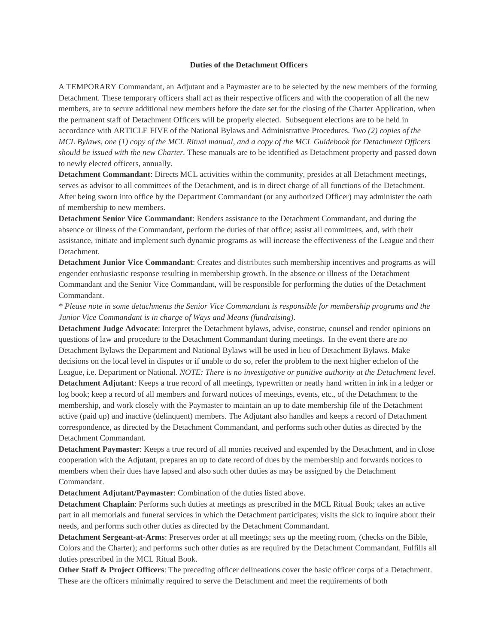## **Duties of the Detachment Officers**

A TEMPORARY Commandant, an Adjutant and a Paymaster are to be selected by the new members of the forming Detachment. These temporary officers shall act as their respective officers and with the cooperation of all the new members, are to secure additional new members before the date set for the closing of the Charter Application, when the permanent staff of Detachment Officers will be properly elected. Subsequent elections are to be held in accordance with ARTICLE FIVE of the National Bylaws and Administrative Procedures. *Two (2) copies of the* MCL Bylaws, one (1) copy of the MCL Ritual manual, and a copy of the MCL Guidebook for Detachment Officers *should be issued with the new Charter.* These manuals are to be identified as Detachment property and passed down to newly elected officers, annually.

**Detachment Commandant**: Directs MCL activities within the community, presides at all Detachment meetings, serves as advisor to all committees of the Detachment, and is in direct charge of all functions of the Detachment. After being sworn into office by the Department Commandant (or any authorized Officer) may administer the oath of membership to new members.

**Detachment Senior Vice Commandant**: Renders assistance to the Detachment Commandant, and during the absence or illness of the Commandant, perform the duties of that office; assist all committees, and, with their assistance, initiate and implement such dynamic programs as will increase the effectiveness of the League and their Detachment.

**Detachment Junior Vice Commandant**: Creates and distributes such membership incentives and programs as will engender enthusiastic response resulting in membership growth. In the absence or illness of the Detachment Commandant and the Senior Vice Commandant, will be responsible for performing the duties of the Detachment Commandant.

\* Please note in some detachments the Senior Vice Commandant is responsible for membership programs and the *Junior Vice Commandant is in charge of Ways and Means (fundraising).*

**Detachment Judge Advocate**: Interpret the Detachment bylaws, advise, construe, counsel and render opinions on questions of law and procedure to the Detachment Commandant during meetings. In the event there are no Detachment Bylaws the Department and National Bylaws will be used in lieu of Detachment Bylaws. Make decisions on the local level in disputes or if unable to do so, refer the problem to the next higher echelon of the League, i.e. Department or National. *NOTE: There is no investigative or punitive authority at the Detachment level.* **Detachment Adjutant**: Keeps a true record of all meetings, typewritten or neatly hand written in ink in a ledger or log book; keep a record of all members and forward notices of meetings, events, etc., of the Detachment to the membership, and work closely with the Paymaster to maintain an up to date membership file of the Detachment active (paid up) and inactive (delinquent) members. The Adjutant also handles and keeps a record of Detachment correspondence, as directed by the Detachment Commandant, and performs such other duties as directed by the

Detachment Commandant.

**Detachment Paymaster**: Keeps a true record of all monies received and expended by the Detachment, and in close cooperation with the Adjutant, prepares an up to date record of dues by the membership and forwards notices to members when their dues have lapsed and also such other duties as may be assigned by the Detachment Commandant.

**Detachment Adjutant/Paymaster**: Combination of the duties listed above.

**Detachment Chaplain**: Performs such duties at meetings as prescribed in the MCL Ritual Book; takes an active part in all memorials and funeral services in which the Detachment participates; visits the sick to inquire about their needs, and performs such other duties as directed by the Detachment Commandant.

**Detachment Sergeant-at-Arms**: Preserves order at all meetings; sets up the meeting room, (checks on the Bible, Colors and the Charter); and performs such other duties as are required by the Detachment Commandant. Fulfills all duties prescribed in the MCL Ritual Book.

**Other Staff & Project Officers**: The preceding officer delineations cover the basic officer corps of a Detachment. These are the officers minimally required to serve the Detachment and meet the requirements of both